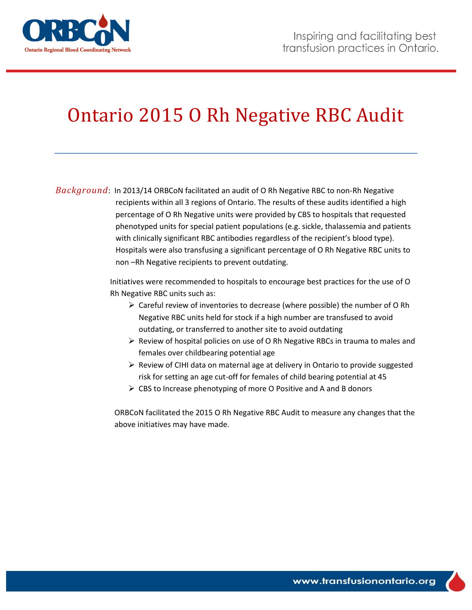

# Ontario 2015 O Rh Negative RBC Audit

*Background*: In 2013/14 ORBCoN facilitated an audit of O Rh Negative RBC to non-Rh Negative recipients within all 3 regions of Ontario. The results of these audits identified a high percentage of O Rh Negative units were provided by CBS to hospitals that requested phenotyped units for special patient populations (e.g. sickle, thalassemia and patients with clinically significant RBC antibodies regardless of the recipient's blood type). Hospitals were also transfusing a significant percentage of O Rh Negative RBC units to non –Rh Negative recipients to prevent outdating.

> Initiatives were recommended to hospitals to encourage best practices for the use of O Rh Negative RBC units such as:

- $\triangleright$  Careful review of inventories to decrease (where possible) the number of O Rh Negative RBC units held for stock if a high number are transfused to avoid outdating, or transferred to another site to avoid outdating
- $\triangleright$  Review of hospital policies on use of O Rh Negative RBCs in trauma to males and females over childbearing potential age
- $\triangleright$  Review of CIHI data on maternal age at delivery in Ontario to provide suggested risk for setting an age cut-off for females of child bearing potential at 45
- $\triangleright$  CBS to Increase phenotyping of more O Positive and A and B donors

ORBCoN facilitated the 2015 O Rh Negative RBC Audit to measure any changes that the above initiatives may have made.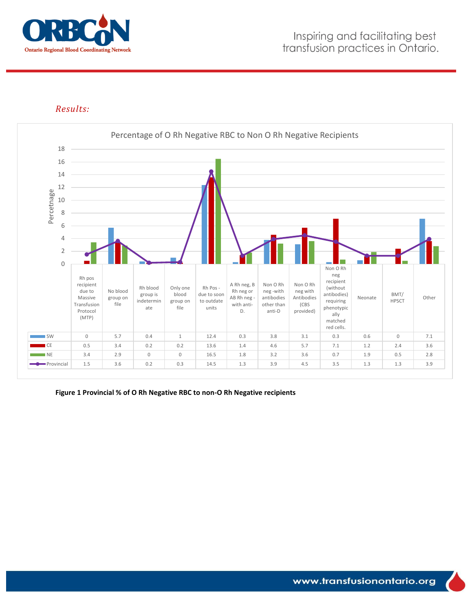

### *Results:*



**Figure 1 Provincial % of O Rh Negative RBC to non-O Rh Negative recipients**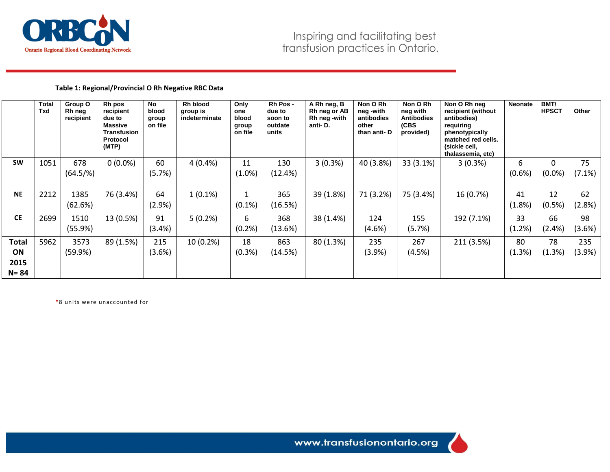

#### **Table 1: Regional/Provincial O Rh Negative RBC Data**

|              | Total<br>Txd | Group O<br>Rh neg<br>recipient | Rh pos<br>recipient<br>due to<br><b>Massive</b><br><b>Transfusion</b><br><b>Protocol</b><br>(MTP) | No<br>blood<br>group<br>on file | Rh blood<br>group is<br>indeterminate | Only<br>one<br>blood<br>group<br>on file | Rh Pos -<br>due to<br>soon to<br>outdate<br>units | A Rh neg, B<br>Rh neg or AB<br>Rh neg -with<br>anti-D. | Non O Rh<br>neg -with<br>antibodies<br>other<br>than anti-D | Non O Rh<br>neg with<br><b>Antibodies</b><br>(CBS<br>provided) | Non O Rh neg<br>recipient (without<br>antibodies)<br>requiring<br>phenotypically<br>matched red cells.<br>(sickle cell,<br>thalassemia, etc) | <b>Neonate</b> | BMT/<br><b>HPSCT</b> | Other     |
|--------------|--------------|--------------------------------|---------------------------------------------------------------------------------------------------|---------------------------------|---------------------------------------|------------------------------------------|---------------------------------------------------|--------------------------------------------------------|-------------------------------------------------------------|----------------------------------------------------------------|----------------------------------------------------------------------------------------------------------------------------------------------|----------------|----------------------|-----------|
| <b>SW</b>    | 1051         | 678                            | $0(0.0\%)$                                                                                        | 60                              | 4(0.4%                                | 11                                       | 130                                               | 3(0.3%)                                                | 40 (3.8%)                                                   | 33 (3.1%)                                                      | 3(0.3%)                                                                                                                                      | 6              |                      | 75        |
|              |              | $(64.5/\%)$                    |                                                                                                   | (5.7%)                          |                                       | (1.0%)                                   | (12.4%)                                           |                                                        |                                                             |                                                                |                                                                                                                                              | (0.6%          | $(0.0\%)$            | (7.1%)    |
|              |              |                                |                                                                                                   |                                 |                                       |                                          |                                                   |                                                        |                                                             |                                                                |                                                                                                                                              |                |                      |           |
| <b>NE</b>    | 2212         | 1385                           | 76 (3.4%)                                                                                         | 64                              | $1(0.1\%)$                            |                                          | 365                                               | 39 (1.8%)                                              | 71 (3.2%)                                                   | 75 (3.4%)                                                      | 16 (0.7%)                                                                                                                                    | 41             | 12                   | 62        |
|              |              | (62.6%)                        |                                                                                                   | (2.9%)                          |                                       | $(0.1\%)$                                | (16.5%)                                           |                                                        |                                                             |                                                                |                                                                                                                                              | (1.8%)         | (0.5%)               | (2.8%)    |
| <b>CE</b>    | 2699         | 1510                           | 13 (0.5%)                                                                                         | 91                              | 5(0.2%)                               | 6                                        | 368                                               | 38 (1.4%)                                              | 124                                                         | 155                                                            | 192 (7.1%)                                                                                                                                   | 33             | 66                   | 98        |
|              |              | (55.9%)                        |                                                                                                   | (3.4%)                          |                                       | (0.2%                                    | (13.6%)                                           |                                                        | (4.6%)                                                      | (5.7%)                                                         |                                                                                                                                              | (1.2%)         | (2.4%)               | (3.6%)    |
| <b>Total</b> | 5962         | 3573                           | 89 (1.5%)                                                                                         | 215                             | 10 (0.2%)                             | 18                                       | 863                                               | 80 (1.3%)                                              | 235                                                         | 267                                                            | 211 (3.5%)                                                                                                                                   | 80             | 78                   | 235       |
| ON           |              | (59.9%)                        |                                                                                                   | (3.6%)                          |                                       | (0.3%)                                   | (14.5%)                                           |                                                        | (3.9%)                                                      | (4.5%)                                                         |                                                                                                                                              | (1.3%)         | (1.3%)               | $(3.9\%)$ |
| 2015         |              |                                |                                                                                                   |                                 |                                       |                                          |                                                   |                                                        |                                                             |                                                                |                                                                                                                                              |                |                      |           |
| N= 84        |              |                                |                                                                                                   |                                 |                                       |                                          |                                                   |                                                        |                                                             |                                                                |                                                                                                                                              |                |                      |           |

\*8 units were unaccounted for